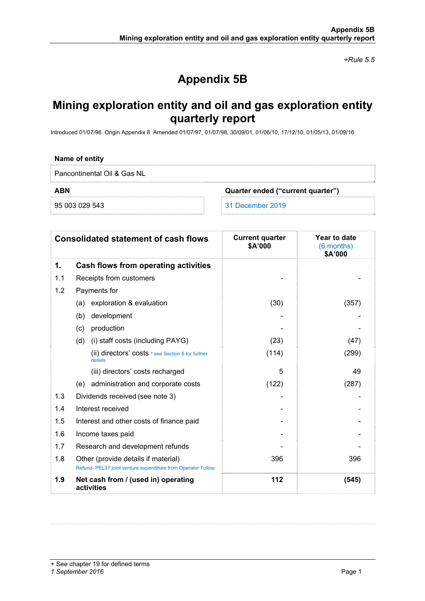*+Rule 5.5* 

# **Appendix 5B**

## **Mining exploration entity and oil and gas exploration entity quarterly report**

Introduced 01/07/96 Origin Appendix 8 Amended 01/07/97, 01/07/98, 30/09/01, 01/06/10, 17/12/10, 01/05/13, 01/09/16

#### **Name of entity**

Pancontinental Oil & Gas NL

**ABN Quarter ended ("current quarter")** 

95 003 029 543 31 December 2019

| <b>Consolidated statement of cash flows</b> |                                                                                                     | <b>Current quarter</b><br>\$A'000 | Year to date<br>(6 months)<br>\$A'000 |
|---------------------------------------------|-----------------------------------------------------------------------------------------------------|-----------------------------------|---------------------------------------|
| 1.                                          | Cash flows from operating activities                                                                |                                   |                                       |
| 1.1                                         | Receipts from customers                                                                             |                                   |                                       |
| 1.2                                         | Payments for                                                                                        |                                   |                                       |
|                                             | exploration & evaluation<br>(a)                                                                     | (30)                              | (357)                                 |
|                                             | (b)<br>development                                                                                  |                                   |                                       |
|                                             | production<br>(c)                                                                                   |                                   |                                       |
|                                             | (i) staff costs (including PAYG)<br>(d)                                                             | (23)                              | (47)                                  |
|                                             | (ii) directors' costs * see Section 6 for further<br>details                                        | (114)                             | (299)                                 |
|                                             | (iii) directors' costs recharged                                                                    | 5                                 | 49                                    |
|                                             | (e) administration and corporate costs                                                              | (122)                             | (287)                                 |
| 1.3                                         | Dividends received (see note 3)                                                                     |                                   |                                       |
| 1.4                                         | Interest received                                                                                   |                                   |                                       |
| 1.5                                         | Interest and other costs of finance paid                                                            |                                   |                                       |
| 1.6                                         | Income taxes paid                                                                                   |                                   |                                       |
| 1.7                                         | Research and development refunds                                                                    |                                   |                                       |
| 1.8                                         | Other (provide details if material)<br>Refund- PEL37 joint venture expenditure from Operator Tullow | 396                               | 396                                   |
| 1.9                                         | Net cash from / (used in) operating<br>activities                                                   | 112                               | (545)                                 |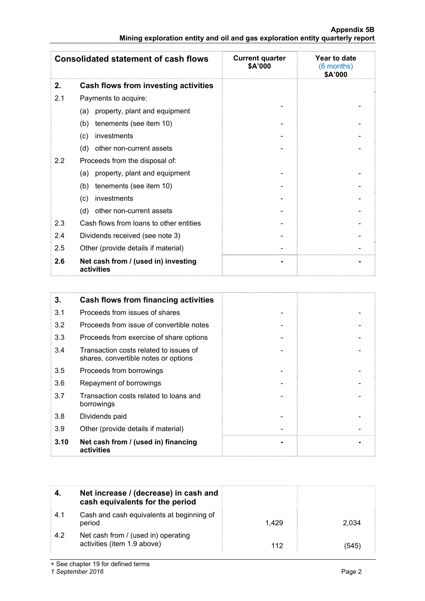#### **Appendix 5B Mining exploration entity and oil and gas exploration entity quarterly report**

| <b>Consolidated statement of cash flows</b> |                                                   | <b>Current quarter</b><br>\$A'000 | Year to date<br>(6 months)<br>\$A'000 |
|---------------------------------------------|---------------------------------------------------|-----------------------------------|---------------------------------------|
| 2.                                          | Cash flows from investing activities              |                                   |                                       |
| 2.1                                         | Payments to acquire:                              |                                   |                                       |
|                                             | property, plant and equipment<br>(a)              |                                   |                                       |
|                                             | tenements (see item 10)<br>(b)                    |                                   |                                       |
|                                             | investments<br>(c)                                |                                   |                                       |
|                                             | (d)<br>other non-current assets                   |                                   |                                       |
| 2.2                                         | Proceeds from the disposal of:                    |                                   |                                       |
|                                             | property, plant and equipment<br>(a)              |                                   |                                       |
|                                             | tenements (see item 10)<br>(b)                    |                                   |                                       |
|                                             | investments<br>(c)                                |                                   |                                       |
|                                             | other non-current assets<br>(d)                   |                                   |                                       |
| 2.3                                         | Cash flows from loans to other entities           |                                   |                                       |
| 2.4                                         | Dividends received (see note 3)                   |                                   |                                       |
| 2.5                                         | Other (provide details if material)               |                                   |                                       |
| 2.6                                         | Net cash from / (used in) investing<br>activities |                                   |                                       |

| 3.   | Cash flows from financing activities                                           |  |
|------|--------------------------------------------------------------------------------|--|
| 3.1  | Proceeds from issues of shares                                                 |  |
| 3.2  | Proceeds from issue of convertible notes                                       |  |
| 3.3  | Proceeds from exercise of share options                                        |  |
| 3.4  | Transaction costs related to issues of<br>shares, convertible notes or options |  |
| 3.5  | Proceeds from borrowings                                                       |  |
| 3.6  | Repayment of borrowings                                                        |  |
| 3.7  | Transaction costs related to loans and<br>borrowings                           |  |
| 3.8  | Dividends paid                                                                 |  |
| 3.9  | Other (provide details if material)                                            |  |
| 3.10 | Net cash from / (used in) financing<br>activities                              |  |

|     | Net increase / (decrease) in cash and<br>cash equivalents for the period |       |       |
|-----|--------------------------------------------------------------------------|-------|-------|
| 4.1 | Cash and cash equivalents at beginning of<br>period                      | 1.429 | 2.034 |
| 4.2 | Net cash from / (used in) operating<br>activities (item 1.9 above)       | 112   | (545  |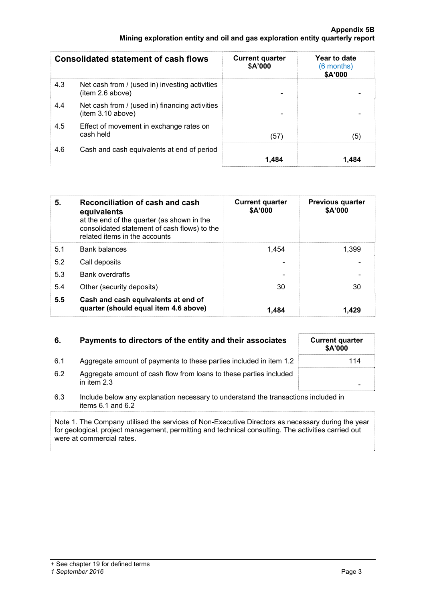#### **Appendix 5B Mining exploration entity and oil and gas exploration entity quarterly report**

| <b>Consolidated statement of cash flows</b> |                                                                    | <b>Current quarter</b><br>\$A'000 | Year to date<br>(6 months)<br>\$A'000 |
|---------------------------------------------|--------------------------------------------------------------------|-----------------------------------|---------------------------------------|
| 4.3                                         | Net cash from / (used in) investing activities<br>(item 2.6 above) |                                   |                                       |
| 4.4                                         | Net cash from / (used in) financing activities<br>item 3.10 above) |                                   |                                       |
| 4.5                                         | Effect of movement in exchange rates on<br>cash held               | (57)                              | (5)                                   |
| 4.6                                         | Cash and cash equivalents at end of period                         | 1.484                             | 1.484                                 |

| 5.  | Reconciliation of cash and cash<br>equivalents<br>at the end of the quarter (as shown in the<br>consolidated statement of cash flows) to the<br>related items in the accounts | <b>Current quarter</b><br>\$A'000 | <b>Previous quarter</b><br>\$A'000 |
|-----|-------------------------------------------------------------------------------------------------------------------------------------------------------------------------------|-----------------------------------|------------------------------------|
| 5.1 | <b>Bank balances</b>                                                                                                                                                          | 1.454                             | 1.399                              |
| 5.2 | Call deposits                                                                                                                                                                 |                                   |                                    |
| 5.3 | <b>Bank overdrafts</b>                                                                                                                                                        |                                   |                                    |
| 5.4 | Other (security deposits)                                                                                                                                                     | 30                                | 30                                 |
| 5.5 | Cash and cash equivalents at end of<br>quarter (should equal item 4.6 above)                                                                                                  | 1.484                             | 1.429                              |

### **6.** Payments to directors of the entity and their associates Current quarter

- 6.1 Aggregate amount of payments to these parties included in item 1.2 114
- 6.2 Aggregate amount of cash flow from loans to these parties included in item 2.3  $\blacksquare$
- 6.3 Include below any explanation necessary to understand the transactions included in items 6.1 and 6.2

Note 1. The Company utilised the services of Non-Executive Directors as necessary during the year for geological, project management, permitting and technical consulting. The activities carried out were at commercial rates.

**\$A'000**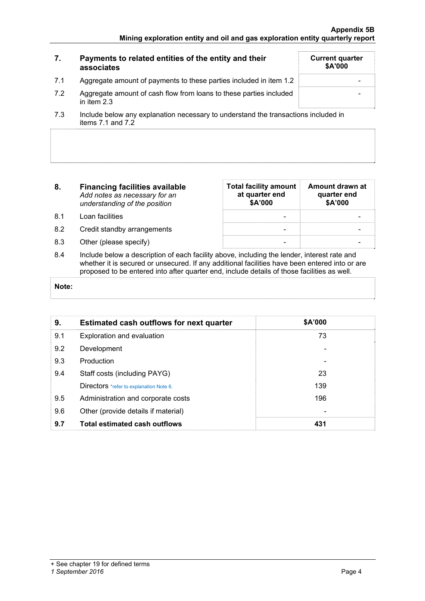| 7.  | Payments to related entities of the entity and their<br>associates                                                   | <b>Current quarter</b><br>\$A'000 |
|-----|----------------------------------------------------------------------------------------------------------------------|-----------------------------------|
| 7.1 | Aggregate amount of payments to these parties included in item 1.2                                                   |                                   |
| 7.2 | Aggregate amount of cash flow from loans to these parties included<br>in item $2.3$                                  |                                   |
|     | المزاوية والمراجعين والمستقصص والمستقطع والمستقطع والمستواد والمستحدث والمستحدث والمستحدث والمستحدث والمستقر والمسار |                                   |

- 7.3 Include below any explanation necessary to understand the transactions included in items 7.1 and 7.2
- **8. Financing facilities available** *Add notes as necessary for an understanding of the position*
- 8.1 Loan facilities
- 8.2 Credit standby arrangements
- 8.3 Other (please specify)

| <b>Total facility amount</b><br>at quarter end<br>\$A'000 | Amount drawn at<br>quarter end<br>\$A'000 |
|-----------------------------------------------------------|-------------------------------------------|
|                                                           |                                           |
|                                                           |                                           |
|                                                           |                                           |

8.4 Include below a description of each facility above, including the lender, interest rate and whether it is secured or unsecured. If any additional facilities have been entered into or are proposed to be entered into after quarter end, include details of those facilities as well.

#### **Note:**

| 9.  | <b>Estimated cash outflows for next quarter</b> | \$A'000 |  |
|-----|-------------------------------------------------|---------|--|
| 9.1 | Exploration and evaluation                      | 73      |  |
| 9.2 | Development                                     |         |  |
| 9.3 | Production                                      |         |  |
| 9.4 | Staff costs (including PAYG)                    | 23      |  |
|     | Directors *refer to explanation Note 6.         | 139     |  |
| 9.5 | Administration and corporate costs              | 196     |  |
| 9.6 | Other (provide details if material)             |         |  |
| 9.7 | <b>Total estimated cash outflows</b>            | 431     |  |